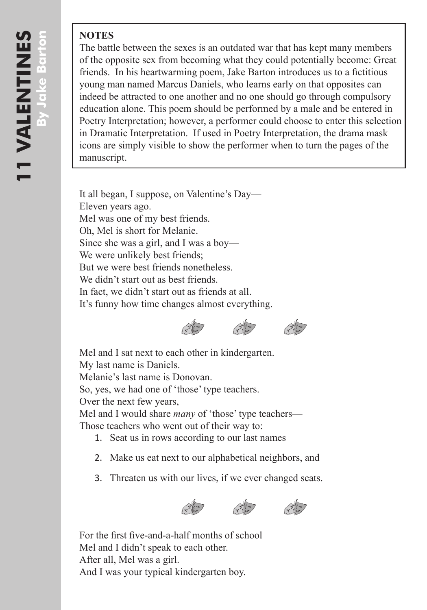## **NOTES**

The battle between the sexes is an outdated war that has kept many members of the opposite sex from becoming what they could potentially become: Great friends. In his heartwarming poem, Jake Barton introduces us to a fictitious young man named Marcus Daniels, who learns early on that opposites can indeed be attracted to one another and no one should go through compulsory education alone. This poem should be performed by a male and be entered in Poetry Interpretation; however, a performer could choose to enter this selection in Dramatic Interpretation. If used in Poetry Interpretation, the drama mask icons are simply visible to show the performer when to turn the pages of the manuscript.

It all began, I suppose, on Valentine's Day— Eleven years ago. Mel was one of my best friends. Oh, Mel is short for Melanie. Since she was a girl, and I was a boy— We were unlikely best friends; But we were best friends nonetheless. We didn't start out as best friends. In fact, we didn't start out as friends at all. It's funny how time changes almost everything.





Mel and I sat next to each other in kindergarten. My last name is Daniels.

Melanie's last name is Donovan.

So, yes, we had one of 'those' type teachers.

Over the next few years,

Mel and I would share *many* of 'those' type teachers— Those teachers who went out of their way to:

- 1. Seat us in rows according to our last names
- 2. Make us eat next to our alphabetical neighbors, and
- 3. Threaten us with our lives, if we ever changed seats.